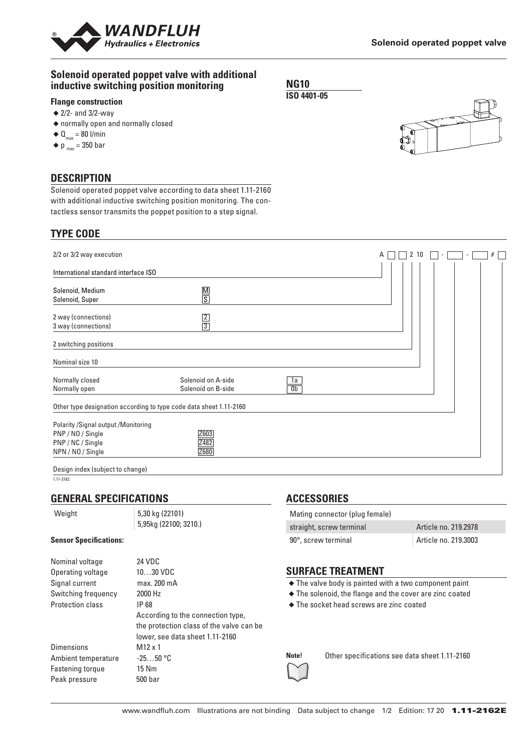

### **Solenoid operated poppet valve with additional inductive switching position monitoring**

## **Flange construction**

- $\triangleq$  2/2- and 3/2-way
- ◆ normally open and normally closed
- $\triangleleft \mathbf{0}_{\text{max}} = 80 \text{ I/min}$
- $\blacklozenge$  p  $_{\text{max}}$  = 350 bar

### **DESCRIPTION**

Solenoid operated poppet valve according to data sheet 1.11-2160 with additional inductive switching position monitoring. The contactless sensor transmits the poppet position to a step signal.

# **TYPE CODE**

| 2/2 or 3/2 way execution                                                    |                                          |                      | 10<br>A |  | # |
|-----------------------------------------------------------------------------|------------------------------------------|----------------------|---------|--|---|
| International standard interface ISO                                        |                                          |                      |         |  |   |
| Solenoid, Medium<br>Solenoid, Super                                         | $\frac{M}{S}$                            |                      |         |  |   |
| 2 way (connections)<br>3 way (connections)                                  | $\frac{2}{3}$                            |                      |         |  |   |
| 2 switching positions                                                       |                                          |                      |         |  |   |
| Nominal size 10                                                             |                                          |                      |         |  |   |
| Normally closed<br>Normally open                                            | Solenoid on A-side<br>Solenoid on B-side | 1a<br>0 <sub>b</sub> |         |  |   |
| Other type designation according to type code data sheet 1.11-2160          |                                          |                      |         |  |   |
| Polarity / Signal output / Monitoring<br>PNP/NO/Single<br>PNP / NC / Single | Z603<br>Z482                             |                      |         |  |   |
| NPN / NO / Single                                                           | Z680                                     |                      |         |  |   |
| Design index (subject to change)                                            |                                          |                      |         |  |   |

1.11-2162

### **GENERAL SPECIFICATIONS**

Weight 5,30 kg (22101)

5,95kg (22100; 3210.)

#### **Sensor Specifications:**

| Nominal voltage         | <b>24 VDC</b>                            |
|-------------------------|------------------------------------------|
| Operating voltage       | 1030 VDC                                 |
| Signal current          | max. 200 mA                              |
| Switching frequency     | 2000 Hz                                  |
| <b>Protection class</b> | IP 68                                    |
|                         | According to the connection type,        |
|                         | the protection class of the valve can be |
|                         | lower, see data sheet 1.11-2160          |
| <b>Dimensions</b>       | $M12 \times 1$                           |
| Ambient temperature     | $-2550 °C$                               |
| Fastening torque        | 15 Nm                                    |
| Peak pressure           | 500 bar                                  |
|                         |                                          |

### **ACCESSORIES**

| Mating connector (plug female) |                      |
|--------------------------------|----------------------|
| straight, screw terminal       | Article no. 219.2978 |
| 90°, screw terminal            | Article no. 219.3003 |

### **SURFACE TREATMENT**

◆ The valve body is painted with a two component paint

- ◆ The solenoid, the flange and the cover are zinc coated
- ◆ The socket head screws are zinc coated

**Note!** Other specifications see data sheet 1.11-2160

**NG10 ISO 4401-05**